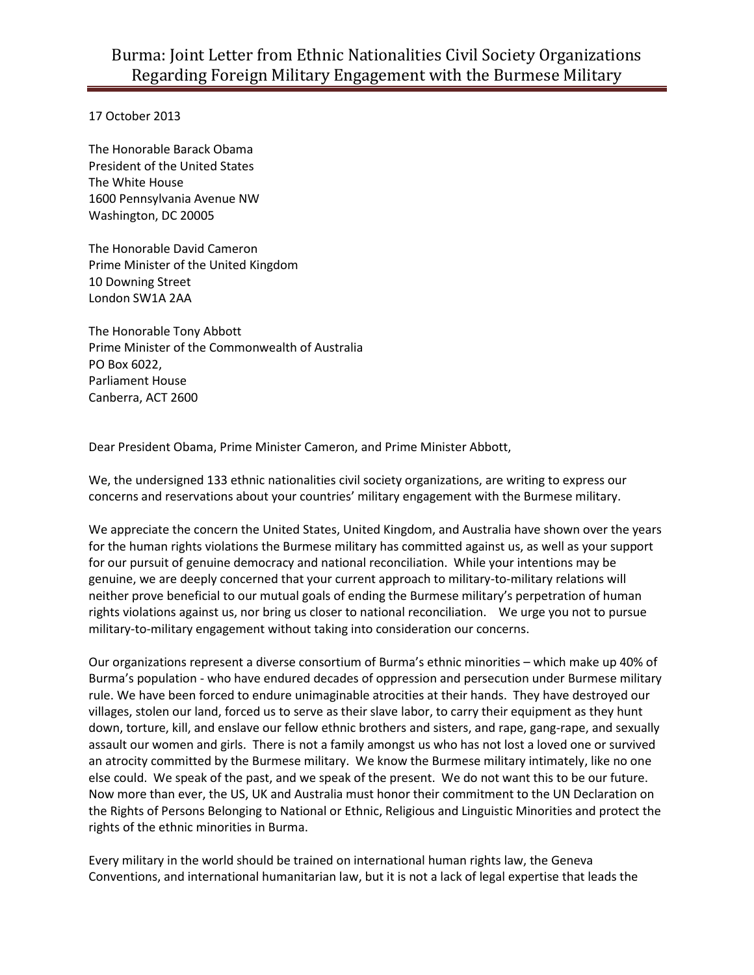#### 17 October 2013

The Honorable Barack Obama President of the United States The White House 1600 Pennsylvania Avenue NW Washington, DC 20005

The Honorable David Cameron Prime Minister of the United Kingdom 10 Downing Street London SW1A 2AA

The Honorable Tony Abbott Prime Minister of the Commonwealth of Australia PO Box 6022, Parliament House Canberra, ACT 2600

Dear President Obama, Prime Minister Cameron, and Prime Minister Abbott,

We, the undersigned 133 ethnic nationalities civil society organizations, are writing to express our concerns and reservations about your countries' military engagement with the Burmese military.

We appreciate the concern the United States, United Kingdom, and Australia have shown over the years for the human rights violations the Burmese military has committed against us, as well as your support for our pursuit of genuine democracy and national reconciliation. While your intentions may be genuine, we are deeply concerned that your current approach to military-to-military relations will neither prove beneficial to our mutual goals of ending the Burmese military's perpetration of human rights violations against us, nor bring us closer to national reconciliation. We urge you not to pursue military-to-military engagement without taking into consideration our concerns.

Our organizations represent a diverse consortium of Burma's ethnic minorities – which make up 40% of Burma's population - who have endured decades of oppression and persecution under Burmese military rule. We have been forced to endure unimaginable atrocities at their hands. They have destroyed our villages, stolen our land, forced us to serve as their slave labor, to carry their equipment as they hunt down, torture, kill, and enslave our fellow ethnic brothers and sisters, and rape, gang-rape, and sexually assault our women and girls. There is not a family amongst us who has not lost a loved one or survived an atrocity committed by the Burmese military. We know the Burmese military intimately, like no one else could. We speak of the past, and we speak of the present. We do not want this to be our future. Now more than ever, the US, UK and Australia must honor their commitment to the UN Declaration on the Rights of Persons Belonging to National or Ethnic, Religious and Linguistic Minorities and protect the rights of the ethnic minorities in Burma.

Every military in the world should be trained on international human rights law, the Geneva Conventions, and international humanitarian law, but it is not a lack of legal expertise that leads the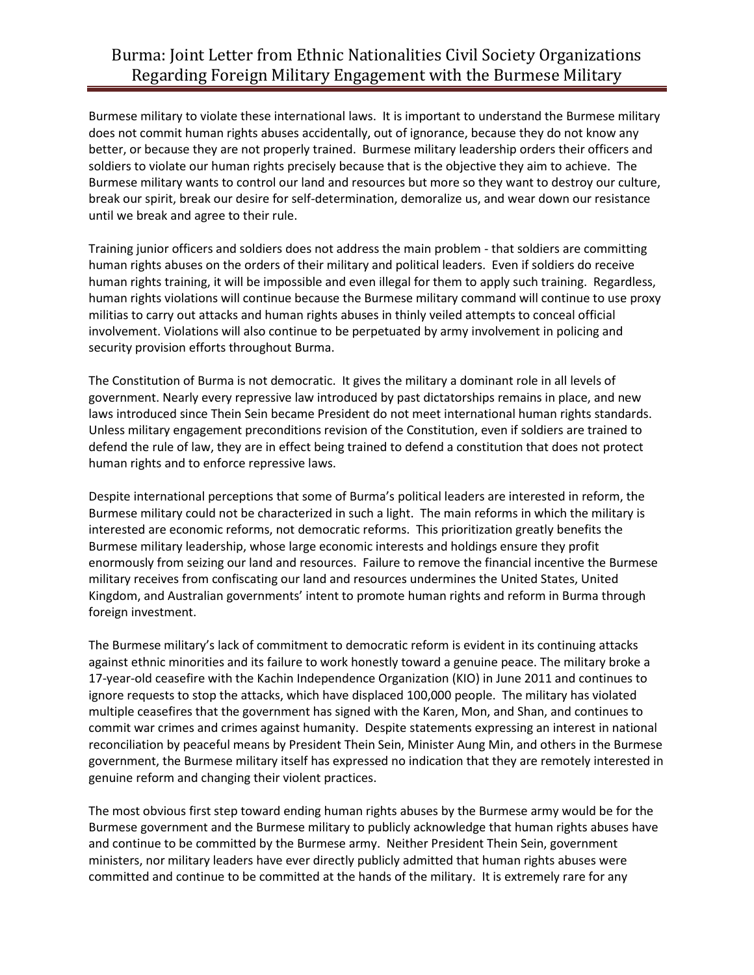Burmese military to violate these international laws. It is important to understand the Burmese military does not commit human rights abuses accidentally, out of ignorance, because they do not know any better, or because they are not properly trained. Burmese military leadership orders their officers and soldiers to violate our human rights precisely because that is the objective they aim to achieve. The Burmese military wants to control our land and resources but more so they want to destroy our culture, break our spirit, break our desire for self-determination, demoralize us, and wear down our resistance until we break and agree to their rule.

Training junior officers and soldiers does not address the main problem - that soldiers are committing human rights abuses on the orders of their military and political leaders. Even if soldiers do receive human rights training, it will be impossible and even illegal for them to apply such training. Regardless, human rights violations will continue because the Burmese military command will continue to use proxy militias to carry out attacks and human rights abuses in thinly veiled attempts to conceal official involvement. Violations will also continue to be perpetuated by army involvement in policing and security provision efforts throughout Burma.

The Constitution of Burma is not democratic. It gives the military a dominant role in all levels of government. Nearly every repressive law introduced by past dictatorships remains in place, and new laws introduced since Thein Sein became President do not meet international human rights standards. Unless military engagement preconditions revision of the Constitution, even if soldiers are trained to defend the rule of law, they are in effect being trained to defend a constitution that does not protect human rights and to enforce repressive laws.

Despite international perceptions that some of Burma's political leaders are interested in reform, the Burmese military could not be characterized in such a light. The main reforms in which the military is interested are economic reforms, not democratic reforms. This prioritization greatly benefits the Burmese military leadership, whose large economic interests and holdings ensure they profit enormously from seizing our land and resources. Failure to remove the financial incentive the Burmese military receives from confiscating our land and resources undermines the United States, United Kingdom, and Australian governments' intent to promote human rights and reform in Burma through foreign investment.

The Burmese military's lack of commitment to democratic reform is evident in its continuing attacks against ethnic minorities and its failure to work honestly toward a genuine peace. The military broke a 17-year-old ceasefire with the Kachin Independence Organization (KIO) in June 2011 and continues to ignore requests to stop the attacks, which have displaced 100,000 people. The military has violated multiple ceasefires that the government has signed with the Karen, Mon, and Shan, and continues to commit war crimes and crimes against humanity. Despite statements expressing an interest in national reconciliation by peaceful means by President Thein Sein, Minister Aung Min, and others in the Burmese government, the Burmese military itself has expressed no indication that they are remotely interested in genuine reform and changing their violent practices.

The most obvious first step toward ending human rights abuses by the Burmese army would be for the Burmese government and the Burmese military to publicly acknowledge that human rights abuses have and continue to be committed by the Burmese army. Neither President Thein Sein, government ministers, nor military leaders have ever directly publicly admitted that human rights abuses were committed and continue to be committed at the hands of the military. It is extremely rare for any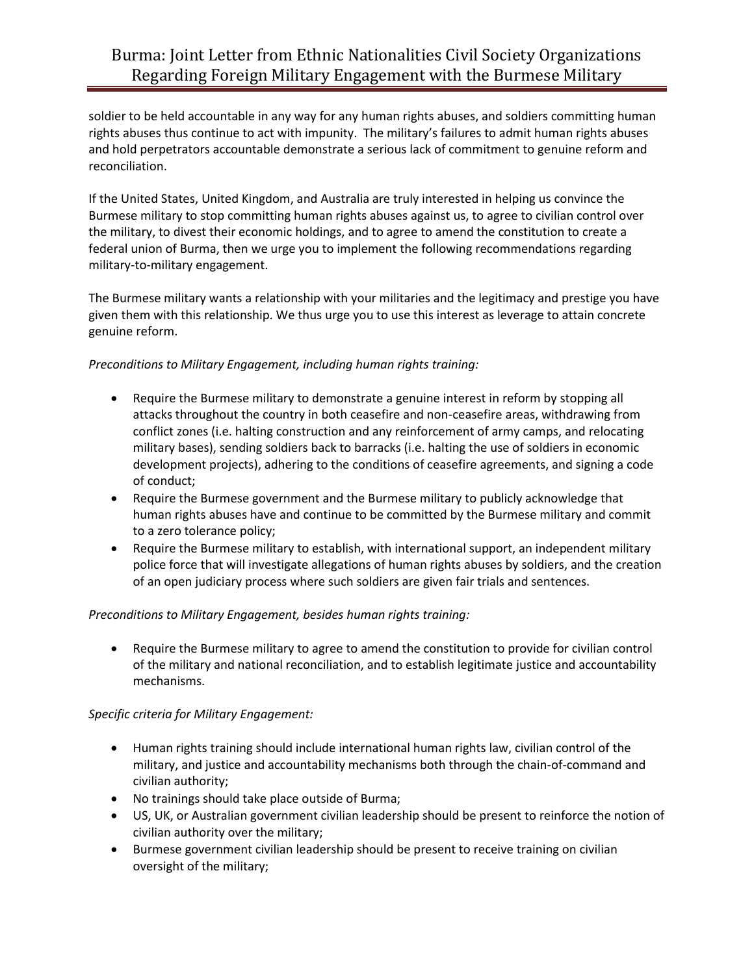soldier to be held accountable in any way for any human rights abuses, and soldiers committing human rights abuses thus continue to act with impunity. The military's failures to admit human rights abuses and hold perpetrators accountable demonstrate a serious lack of commitment to genuine reform and reconciliation.

If the United States, United Kingdom, and Australia are truly interested in helping us convince the Burmese military to stop committing human rights abuses against us, to agree to civilian control over the military, to divest their economic holdings, and to agree to amend the constitution to create a federal union of Burma, then we urge you to implement the following recommendations regarding military-to-military engagement.

The Burmese military wants a relationship with your militaries and the legitimacy and prestige you have given them with this relationship. We thus urge you to use this interest as leverage to attain concrete genuine reform.

### *Preconditions to Military Engagement, including human rights training:*

- Require the Burmese military to demonstrate a genuine interest in reform by stopping all attacks throughout the country in both ceasefire and non-ceasefire areas, withdrawing from conflict zones (i.e. halting construction and any reinforcement of army camps, and relocating military bases), sending soldiers back to barracks (i.e. halting the use of soldiers in economic development projects), adhering to the conditions of ceasefire agreements, and signing a code of conduct;
- Require the Burmese government and the Burmese military to publicly acknowledge that human rights abuses have and continue to be committed by the Burmese military and commit to a zero tolerance policy;
- Require the Burmese military to establish, with international support, an independent military police force that will investigate allegations of human rights abuses by soldiers, and the creation of an open judiciary process where such soldiers are given fair trials and sentences.

### *Preconditions to Military Engagement, besides human rights training:*

 Require the Burmese military to agree to amend the constitution to provide for civilian control of the military and national reconciliation, and to establish legitimate justice and accountability mechanisms.

### *Specific criteria for Military Engagement:*

- Human rights training should include international human rights law, civilian control of the military, and justice and accountability mechanisms both through the chain-of-command and civilian authority;
- No trainings should take place outside of Burma;
- US, UK, or Australian government civilian leadership should be present to reinforce the notion of civilian authority over the military;
- Burmese government civilian leadership should be present to receive training on civilian oversight of the military;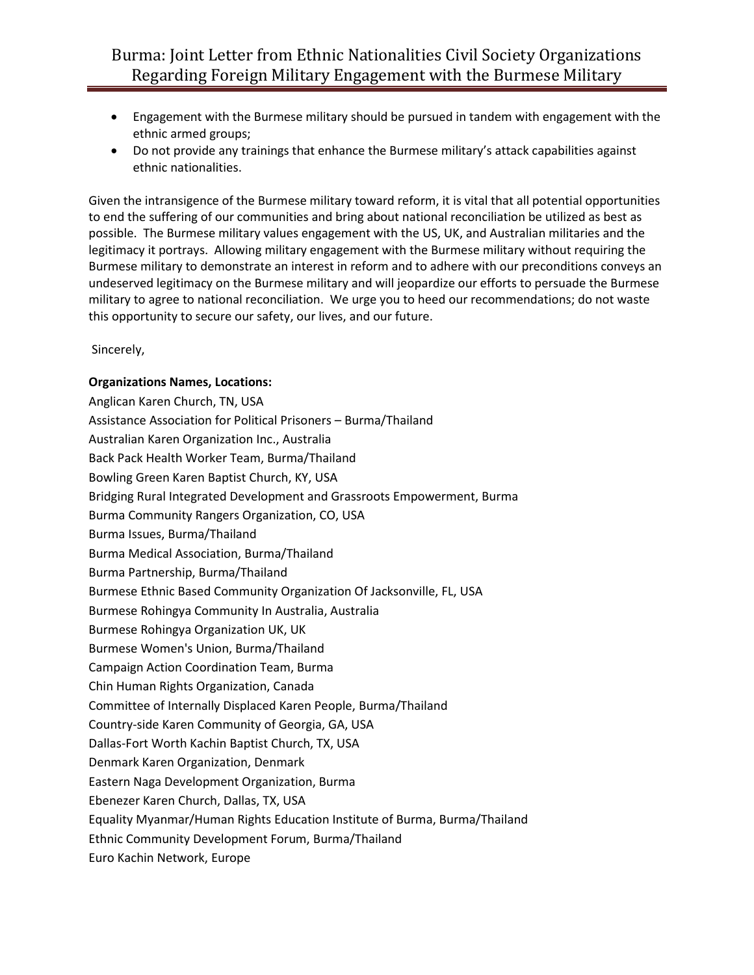- Engagement with the Burmese military should be pursued in tandem with engagement with the ethnic armed groups;
- Do not provide any trainings that enhance the Burmese military's attack capabilities against ethnic nationalities.

Given the intransigence of the Burmese military toward reform, it is vital that all potential opportunities to end the suffering of our communities and bring about national reconciliation be utilized as best as possible. The Burmese military values engagement with the US, UK, and Australian militaries and the legitimacy it portrays. Allowing military engagement with the Burmese military without requiring the Burmese military to demonstrate an interest in reform and to adhere with our preconditions conveys an undeserved legitimacy on the Burmese military and will jeopardize our efforts to persuade the Burmese military to agree to national reconciliation. We urge you to heed our recommendations; do not waste this opportunity to secure our safety, our lives, and our future.

Sincerely,

### **Organizations Names, Locations:**

Anglican Karen Church, TN, USA Assistance Association for Political Prisoners – Burma/Thailand Australian Karen Organization Inc., Australia Back Pack Health Worker Team, Burma/Thailand Bowling Green Karen Baptist Church, KY, USA Bridging Rural Integrated Development and Grassroots Empowerment, Burma Burma Community Rangers Organization, CO, USA Burma Issues, Burma/Thailand Burma Medical Association, Burma/Thailand Burma Partnership, Burma/Thailand Burmese Ethnic Based Community Organization Of Jacksonville, FL, USA Burmese Rohingya Community In Australia, Australia Burmese Rohingya Organization UK, UK Burmese Women's Union, Burma/Thailand Campaign Action Coordination Team, Burma Chin Human Rights Organization, Canada Committee of Internally Displaced Karen People, Burma/Thailand Country-side Karen Community of Georgia, GA, USA Dallas-Fort Worth Kachin Baptist Church, TX, USA Denmark Karen Organization, Denmark Eastern Naga Development Organization, Burma Ebenezer Karen Church, Dallas, TX, USA Equality Myanmar/Human Rights Education Institute of Burma, Burma/Thailand Ethnic Community Development Forum, Burma/Thailand

Euro Kachin Network, Europe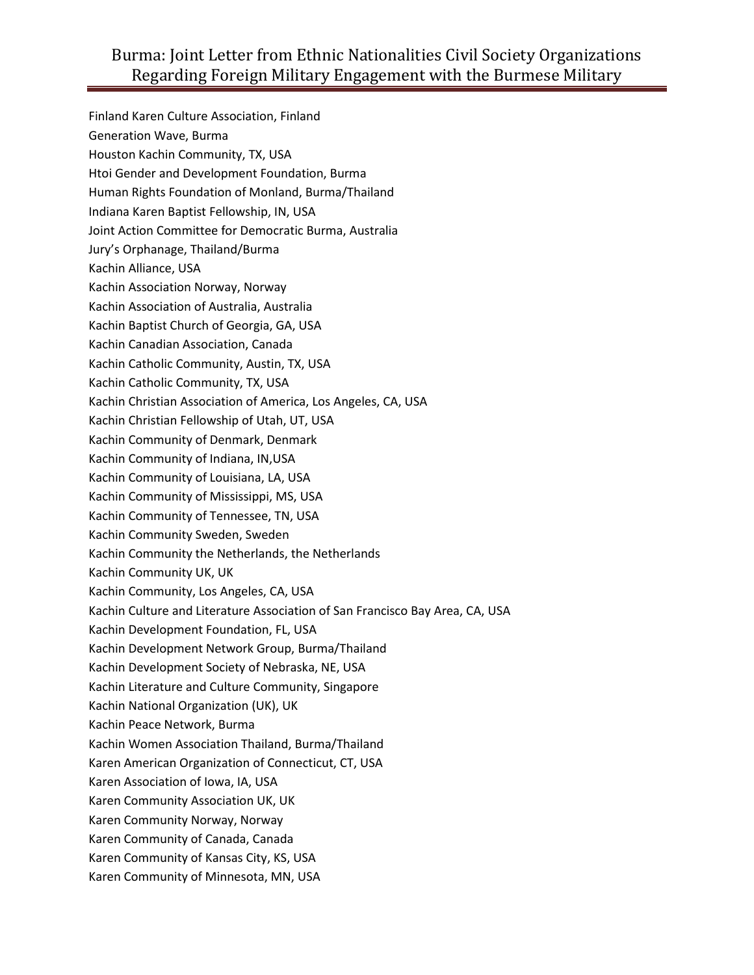Finland Karen Culture Association, Finland Generation Wave, Burma Houston Kachin Community, TX, USA Htoi Gender and Development Foundation, Burma Human Rights Foundation of Monland, Burma/Thailand Indiana Karen Baptist Fellowship, IN, USA Joint Action Committee for Democratic Burma, Australia Jury's Orphanage, Thailand/Burma Kachin Alliance, USA Kachin Association Norway, Norway Kachin Association of Australia, Australia Kachin Baptist Church of Georgia, GA, USA Kachin Canadian Association, Canada Kachin Catholic Community, Austin, TX, USA Kachin Catholic Community, TX, USA Kachin Christian Association of America, Los Angeles, CA, USA Kachin Christian Fellowship of Utah, UT, USA Kachin Community of Denmark, Denmark Kachin Community of Indiana, IN,USA Kachin Community of Louisiana, LA, USA Kachin Community of Mississippi, MS, USA Kachin Community of Tennessee, TN, USA Kachin Community Sweden, Sweden Kachin Community the Netherlands, the Netherlands Kachin Community UK, UK Kachin Community, Los Angeles, CA, USA Kachin Culture and Literature Association of San Francisco Bay Area, CA, USA Kachin Development Foundation, FL, USA Kachin Development Network Group, Burma/Thailand Kachin Development Society of Nebraska, NE, USA Kachin Literature and Culture Community, Singapore Kachin National Organization (UK), UK Kachin Peace Network, Burma Kachin Women Association Thailand, Burma/Thailand Karen American Organization of Connecticut, CT, USA Karen Association of Iowa, IA, USA Karen Community Association UK, UK Karen Community Norway, Norway Karen Community of Canada, Canada Karen Community of Kansas City, KS, USA Karen Community of Minnesota, MN, USA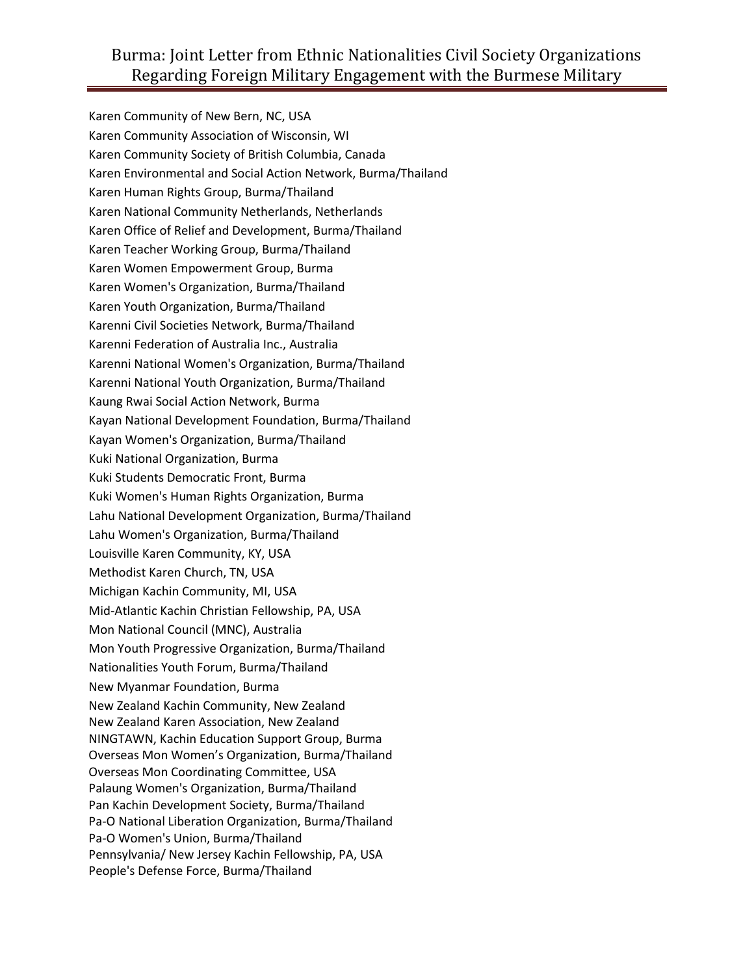Karen Community of New Bern, NC, USA Karen Community Association of Wisconsin, WI Karen Community Society of British Columbia, Canada Karen Environmental and Social Action Network, Burma/Thailand Karen Human Rights Group, Burma/Thailand Karen National Community Netherlands, Netherlands Karen Office of Relief and Development, Burma/Thailand Karen Teacher Working Group, Burma/Thailand Karen Women Empowerment Group, Burma Karen Women's Organization, Burma/Thailand Karen Youth Organization, Burma/Thailand Karenni Civil Societies Network, Burma/Thailand Karenni Federation of Australia Inc., Australia Karenni National Women's Organization, Burma/Thailand Karenni National Youth Organization, Burma/Thailand Kaung Rwai Social Action Network, Burma Kayan National Development Foundation, Burma/Thailand Kayan Women's Organization, Burma/Thailand Kuki National Organization, Burma Kuki Students Democratic Front, Burma Kuki Women's Human Rights Organization, Burma Lahu National Development Organization, Burma/Thailand Lahu Women's Organization, Burma/Thailand Louisville Karen Community, KY, USA Methodist Karen Church, TN, USA Michigan Kachin Community, MI, USA Mid-Atlantic Kachin Christian Fellowship, PA, USA Mon National Council (MNC), Australia Mon Youth Progressive Organization, Burma/Thailand Nationalities Youth Forum, Burma/Thailand New Myanmar Foundation, Burma New Zealand Kachin Community, New Zealand New Zealand Karen Association, New Zealand NINGTAWN, Kachin Education Support Group, Burma Overseas Mon Women's Organization, Burma/Thailand Overseas Mon Coordinating Committee, USA Palaung Women's Organization, Burma/Thailand Pan Kachin Development Society, Burma/Thailand Pa-O National Liberation Organization, Burma/Thailand Pa-O Women's Union, Burma/Thailand Pennsylvania/ New Jersey Kachin Fellowship, PA, USA People's Defense Force, Burma/Thailand